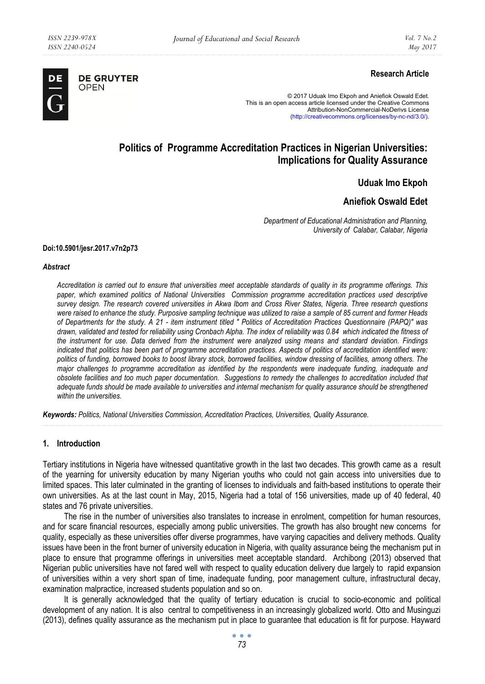

# **Research Article**

© 2017 Uduak Imo Ekpoh and Aniefiok Oswald Edet. This is an open access article licensed under the Creative Commons Attribution-NonCommercial-NoDerivs License (http://creativecommons.org/licenses/by-nc-nd/3.0/).

# **Politics of Programme Accreditation Practices in Nigerian Universities: Implications for Quality Assurance**

**Uduak Imo Ekpoh** 

**Aniefiok Oswald Edet** 

*Department of Educational Administration and Planning, University of Calabar, Calabar, Nigeria* 

#### **Doi:10.5901/jesr.2017.v7n2p73**

#### *Abstract*

*Accreditation is carried out to ensure that universities meet acceptable standards of quality in its programme offerings. This paper, which examined politics of National Universities Commission programme accreditation practices used descriptive survey design. The research covered universities in Akwa Ibom and Cross River States, Nigeria. Three research questions were raised to enhance the study. Purposive sampling technique was utilized to raise a sample of 85 current and former Heads of Departments for the study. A 21 - item instrument titled " Politics of Accreditation Practices Questionnaire (PAPQ)" was drawn, validated and tested for reliability using Cronbach Alpha. The index of reliability was 0.84 which indicated the fitness of the instrument for use. Data derived from the instrument were analyzed using means and standard deviation. Findings indicated that politics has been part of programme accreditation practices. Aspects of politics of accreditation identified were: politics of funding, borrowed books to boost library stock, borrowed facilities, window dressing of facilities, among others. The major challenges to programme accreditation as identified by the respondents were inadequate funding, inadequate and obsolete facilities and too much paper documentation. Suggestions to remedy the challenges to accreditation included that adequate funds should be made available to universities and internal mechanism for quality assurance should be strengthened within the universities.* 

*Keywords: Politics, National Universities Commission, Accreditation Practices, Universities, Quality Assurance.* 

# **1. Introduction**

Tertiary institutions in Nigeria have witnessed quantitative growth in the last two decades. This growth came as a result of the yearning for university education by many Nigerian youths who could not gain access into universities due to limited spaces. This later culminated in the granting of licenses to individuals and faith-based institutions to operate their own universities. As at the last count in May, 2015, Nigeria had a total of 156 universities, made up of 40 federal, 40 states and 76 private universities.

The rise in the number of universities also translates to increase in enrolment, competition for human resources, and for scare financial resources, especially among public universities. The growth has also brought new concerns for quality, especially as these universities offer diverse programmes, have varying capacities and delivery methods. Quality issues have been in the front burner of university education in Nigeria, with quality assurance being the mechanism put in place to ensure that programme offerings in universities meet acceptable standard. Archibong (2013) observed that Nigerian public universities have not fared well with respect to quality education delivery due largely to rapid expansion of universities within a very short span of time, inadequate funding, poor management culture, infrastructural decay, examination malpractice, increased students population and so on.

It is generally acknowledged that the quality of tertiary education is crucial to socio-economic and political development of any nation. It is also central to competitiveness in an increasingly globalized world. Otto and Musinguzi (2013), defines quality assurance as the mechanism put in place to guarantee that education is fit for purpose. Hayward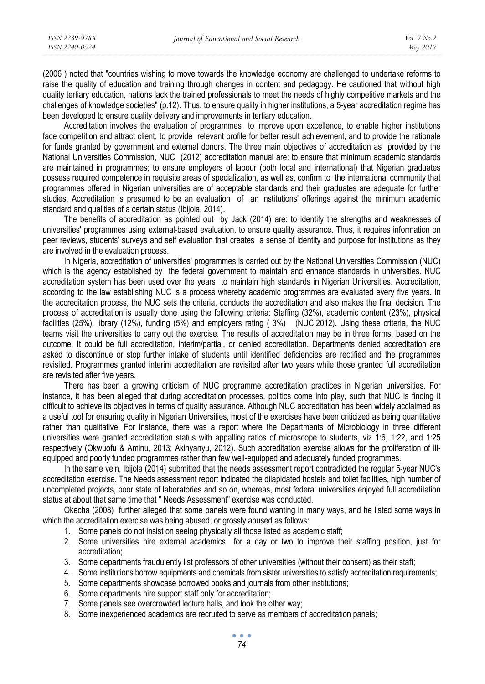(2006 ) noted that "countries wishing to move towards the knowledge economy are challenged to undertake reforms to raise the quality of education and training through changes in content and pedagogy. He cautioned that without high quality tertiary education, nations lack the trained professionals to meet the needs of highly competitive markets and the challenges of knowledge societies" (p.12). Thus, to ensure quality in higher institutions, a 5-year accreditation regime has been developed to ensure quality delivery and improvements in tertiary education.

Accreditation involves the evaluation of programmes to improve upon excellence, to enable higher institutions face competition and attract client, to provide relevant profile for better result achievement, and to provide the rationale for funds granted by government and external donors. The three main objectives of accreditation as provided by the National Universities Commission, NUC (2012) accreditation manual are: to ensure that minimum academic standards are maintained in programmes; to ensure employers of labour (both local and international) that Nigerian graduates possess required competence in requisite areas of specialization, as well as, confirm to the international community that programmes offered in Nigerian universities are of acceptable standards and their graduates are adequate for further studies. Accreditation is presumed to be an evaluation of an institutions' offerings against the minimum academic standard and qualities of a certain status (Ibijola, 2014).

The benefits of accreditation as pointed out by Jack (2014) are: to identify the strengths and weaknesses of universities' programmes using external-based evaluation, to ensure quality assurance. Thus, it requires information on peer reviews, students' surveys and self evaluation that creates a sense of identity and purpose for institutions as they are involved in the evaluation process.

In Nigeria, accreditation of universities' programmes is carried out by the National Universities Commission (NUC) which is the agency established by the federal government to maintain and enhance standards in universities. NUC accreditation system has been used over the years to maintain high standards in Nigerian Universities. Accreditation, according to the law establishing NUC is a process whereby academic programmes are evaluated every five years. In the accreditation process, the NUC sets the criteria, conducts the accreditation and also makes the final decision. The process of accreditation is usually done using the following criteria: Staffing (32%), academic content (23%), physical facilities (25%), library (12%), funding (5%) and employers rating ( 3%) (NUC,2012). Using these criteria, the NUC teams visit the universities to carry out the exercise. The results of accreditation may be in three forms, based on the outcome. It could be full accreditation, interim/partial, or denied accreditation. Departments denied accreditation are asked to discontinue or stop further intake of students until identified deficiencies are rectified and the programmes revisited. Programmes granted interim accreditation are revisited after two years while those granted full accreditation are revisited after five years.

There has been a growing criticism of NUC programme accreditation practices in Nigerian universities. For instance, it has been alleged that during accreditation processes, politics come into play, such that NUC is finding it difficult to achieve its objectives in terms of quality assurance. Although NUC accreditation has been widely acclaimed as a useful tool for ensuring quality in Nigerian Universities, most of the exercises have been criticized as being quantitative rather than qualitative. For instance, there was a report where the Departments of Microbiology in three different universities were granted accreditation status with appalling ratios of microscope to students, viz 1:6, 1:22, and 1:25 respectively (Okwuofu & Aminu, 2013; Akinyanyu, 2012). Such accreditation exercise allows for the proliferation of illequipped and poorly funded programmes rather than few well-equipped and adequately funded programmes.

In the same vein, Ibijola (2014) submitted that the needs assessment report contradicted the regular 5-year NUC's accreditation exercise. The Needs assessment report indicated the dilapidated hostels and toilet facilities, high number of uncompleted projects, poor state of laboratories and so on, whereas, most federal universities enjoyed full accreditation status at about that same time that " Needs Assessment" exercise was conducted.

Okecha (2008) further alleged that some panels were found wanting in many ways, and he listed some ways in which the accreditation exercise was being abused, or grossly abused as follows:

- 1. Some panels do not insist on seeing physically all those listed as academic staff;
- 2. Some universities hire external academics for a day or two to improve their staffing position, just for accreditation;
- 3. Some departments fraudulently list professors of other universities (without their consent) as their staff;
- 4. Some institutions borrow equipments and chemicals from sister universities to satisfy accreditation requirements;
- 5. Some departments showcase borrowed books and journals from other institutions;
- 6. Some departments hire support staff only for accreditation;
- 7. Some panels see overcrowded lecture halls, and look the other way;
- 8. Some inexperienced academics are recruited to serve as members of accreditation panels;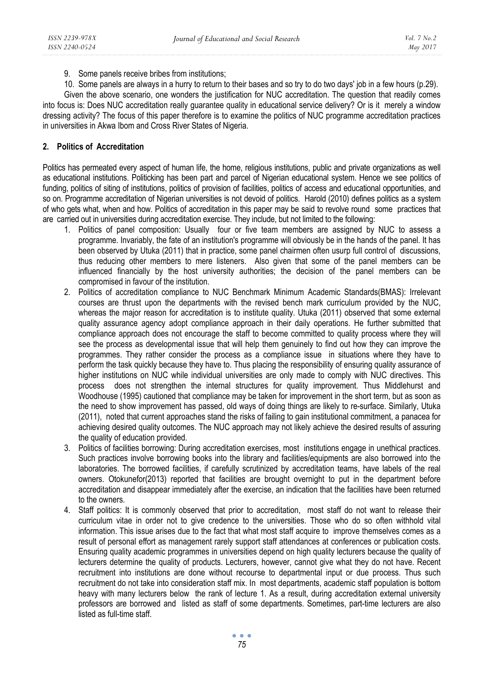9. Some panels receive bribes from institutions;

10. Some panels are always in a hurry to return to their bases and so try to do two days' job in a few hours (p.29).

Given the above scenario, one wonders the justification for NUC accreditation. The question that readily comes into focus is: Does NUC accreditation really guarantee quality in educational service delivery? Or is it merely a window dressing activity? The focus of this paper therefore is to examine the politics of NUC programme accreditation practices in universities in Akwa Ibom and Cross River States of Nigeria.

# **2. Politics of Accreditation**

Politics has permeated every aspect of human life, the home, religious institutions, public and private organizations as well as educational institutions. Politicking has been part and parcel of Nigerian educational system. Hence we see politics of funding, politics of siting of institutions, politics of provision of facilities, politics of access and educational opportunities, and so on. Programme accreditation of Nigerian universities is not devoid of politics. Harold (2010) defines politics as a system of who gets what, when and how. Politics of accreditation in this paper may be said to revolve round some practices that are carried out in universities during accreditation exercise. They include, but not limited to the following:

- 1. Politics of panel composition: Usually four or five team members are assigned by NUC to assess a programme. Invariably, the fate of an institution's programme will obviously be in the hands of the panel. It has been observed by Utuka (2011) that in practice, some panel chairmen often usurp full control of discussions, thus reducing other members to mere listeners. Also given that some of the panel members can be influenced financially by the host university authorities; the decision of the panel members can be compromised in favour of the institution.
- 2. Politics of accreditation compliance to NUC Benchmark Minimum Academic Standards(BMAS): Irrelevant courses are thrust upon the departments with the revised bench mark curriculum provided by the NUC, whereas the major reason for accreditation is to institute quality. Utuka (2011) observed that some external quality assurance agency adopt compliance approach in their daily operations. He further submitted that compliance approach does not encourage the staff to become committed to quality process where they will see the process as developmental issue that will help them genuinely to find out how they can improve the programmes. They rather consider the process as a compliance issue in situations where they have to perform the task quickly because they have to. Thus placing the responsibility of ensuring quality assurance of higher institutions on NUC while individual universities are only made to comply with NUC directives. This process does not strengthen the internal structures for quality improvement. Thus Middlehurst and Woodhouse (1995) cautioned that compliance may be taken for improvement in the short term, but as soon as the need to show improvement has passed, old ways of doing things are likely to re-surface. Similarly, Utuka (2011), noted that current approaches stand the risks of failing to gain institutional commitment, a panacea for achieving desired quality outcomes. The NUC approach may not likely achieve the desired results of assuring the quality of education provided.
- 3. Politics of facilities borrowing: During accreditation exercises, most institutions engage in unethical practices. Such practices involve borrowing books into the library and facilities/equipments are also borrowed into the laboratories. The borrowed facilities, if carefully scrutinized by accreditation teams, have labels of the real owners. Otokunefor(2013) reported that facilities are brought overnight to put in the department before accreditation and disappear immediately after the exercise, an indication that the facilities have been returned to the owners.
- 4. Staff politics: It is commonly observed that prior to accreditation, most staff do not want to release their curriculum vitae in order not to give credence to the universities. Those who do so often withhold vital information. This issue arises due to the fact that what most staff acquire to improve themselves comes as a result of personal effort as management rarely support staff attendances at conferences or publication costs. Ensuring quality academic programmes in universities depend on high quality lecturers because the quality of lecturers determine the quality of products. Lecturers, however, cannot give what they do not have. Recent recruitment into institutions are done without recourse to departmental input or due process. Thus such recruitment do not take into consideration staff mix. In most departments, academic staff population is bottom heavy with many lecturers below the rank of lecture 1. As a result, during accreditation external university professors are borrowed and listed as staff of some departments. Sometimes, part-time lecturers are also listed as full-time staff.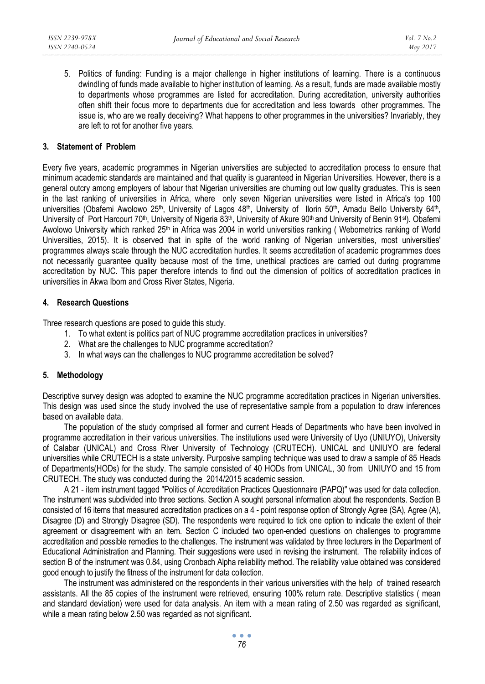5. Politics of funding: Funding is a major challenge in higher institutions of learning. There is a continuous dwindling of funds made available to higher institution of learning. As a result, funds are made available mostly to departments whose programmes are listed for accreditation. During accreditation, university authorities often shift their focus more to departments due for accreditation and less towards other programmes. The issue is, who are we really deceiving? What happens to other programmes in the universities? Invariably, they are left to rot for another five years.

# **3. Statement of Problem**

Every five years, academic programmes in Nigerian universities are subjected to accreditation process to ensure that minimum academic standards are maintained and that quality is guaranteed in Nigerian Universities. However, there is a general outcry among employers of labour that Nigerian universities are churning out low quality graduates. This is seen in the last ranking of universities in Africa, where only seven Nigerian universities were listed in Africa's top 100 universities (Obafemi Awolowo 25<sup>th</sup>, University of Lagos 48<sup>th</sup>, University of Ilorin 50<sup>th</sup>, Amadu Bello University 64<sup>th</sup>, University of Port Harcourt 70<sup>th</sup>, University of Nigeria 83<sup>th</sup>, University of Akure 90<sup>th</sup> and University of Benin 91<sup>st</sup>). Obafemi Awolowo University which ranked 25th in Africa was 2004 in world universities ranking ( Webometrics ranking of World Universities, 2015). It is observed that in spite of the world ranking of Nigerian universities, most universities' programmes always scale through the NUC accreditation hurdles. It seems accreditation of academic programmes does not necessarily guarantee quality because most of the time, unethical practices are carried out during programme accreditation by NUC. This paper therefore intends to find out the dimension of politics of accreditation practices in universities in Akwa Ibom and Cross River States, Nigeria.

# **4. Research Questions**

Three research questions are posed to guide this study.

- 1. To what extent is politics part of NUC programme accreditation practices in universities?
- 2. What are the challenges to NUC programme accreditation?
- 3. In what ways can the challenges to NUC programme accreditation be solved?

# **5. Methodology**

Descriptive survey design was adopted to examine the NUC programme accreditation practices in Nigerian universities. This design was used since the study involved the use of representative sample from a population to draw inferences based on available data.

The population of the study comprised all former and current Heads of Departments who have been involved in programme accreditation in their various universities. The institutions used were University of Uyo (UNIUYO), University of Calabar (UNICAL) and Cross River University of Technology (CRUTECH). UNICAL and UNIUYO are federal universities while CRUTECH is a state university. Purposive sampling technique was used to draw a sample of 85 Heads of Departments(HODs) for the study. The sample consisted of 40 HODs from UNICAL, 30 from UNIUYO and 15 from CRUTECH. The study was conducted during the 2014/2015 academic session.

A 21 - item instrument tagged "Politics of Accreditation Practices Questionnaire (PAPQ)" was used for data collection. The instrument was subdivided into three sections. Section A sought personal information about the respondents. Section B consisted of 16 items that measured accreditation practices on a 4 - point response option of Strongly Agree (SA), Agree (A), Disagree (D) and Strongly Disagree (SD). The respondents were required to tick one option to indicate the extent of their agreement or disagreement with an item. Section C included two open-ended questions on challenges to programme accreditation and possible remedies to the challenges. The instrument was validated by three lecturers in the Department of Educational Administration and Planning. Their suggestions were used in revising the instrument. The reliability indices of section B of the instrument was 0.84, using Cronbach Alpha reliability method. The reliability value obtained was considered good enough to justify the fitness of the instrument for data collection.

The instrument was administered on the respondents in their various universities with the help of trained research assistants. All the 85 copies of the instrument were retrieved, ensuring 100% return rate. Descriptive statistics ( mean and standard deviation) were used for data analysis. An item with a mean rating of 2.50 was regarded as significant, while a mean rating below 2.50 was regarded as not significant.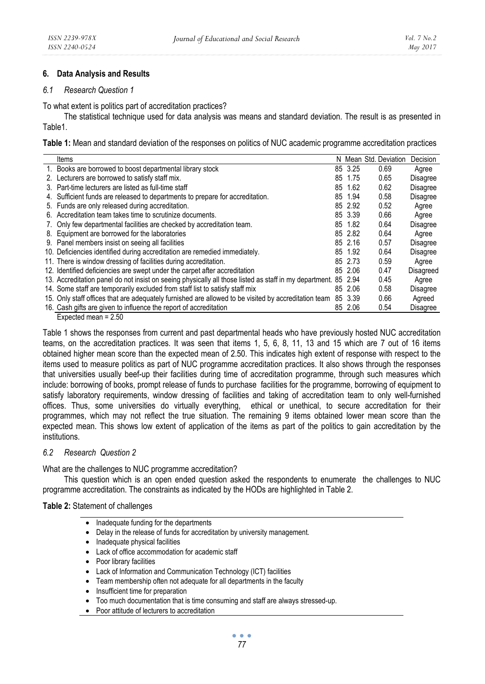# **6. Data Analysis and Results**

# *6.1 Research Question 1*

To what extent is politics part of accreditation practices?

The statistical technique used for data analysis was means and standard deviation. The result is as presented in Table1.

**Table 1:** Mean and standard deviation of the responses on politics of NUC academic programme accreditation practices

| Items                                                                                                          |         | N Mean Std. Deviation | Decision        |
|----------------------------------------------------------------------------------------------------------------|---------|-----------------------|-----------------|
| 1. Books are borrowed to boost departmental library stock                                                      | 85 3.25 | 0.69                  | Agree           |
| 2. Lecturers are borrowed to satisfy staff mix.                                                                | 85 1.75 | 0.65                  | <b>Disagree</b> |
| 3. Part-time lecturers are listed as full-time staff                                                           | 85 1.62 | 0.62                  | Disagree        |
| 4. Sufficient funds are released to departments to prepare for accreditation.                                  | 85 1.94 | 0.58                  | Disagree        |
| 5. Funds are only released during accreditation.                                                               | 85 2.92 | 0.52                  | Agree           |
| 6. Accreditation team takes time to scrutinize documents.                                                      | 85 3.39 | 0.66                  | Agree           |
| 7. Only few departmental facilities are checked by accreditation team.                                         | 85 1.82 | 0.64                  | <b>Disagree</b> |
| 8. Equipment are borrowed for the laboratories                                                                 | 85 2.82 | 0.64                  | Agree           |
| 9. Panel members insist on seeing all facilities                                                               | 85 2.16 | 0.57                  | <b>Disagree</b> |
| 10. Deficiencies identified during accreditation are remedied immediately.                                     | 85 1.92 | 0.64                  | <b>Disagree</b> |
| 11. There is window dressing of facilities during accreditation.                                               | 85 2.73 | 0.59                  | Agree           |
| 12. Identified deficiencies are swept under the carpet after accreditation                                     | 85 2.06 | 0.47                  | Disagreed       |
| 13. Accreditation panel do not insist on seeing physically all those listed as staff in my department. 85 2.94 |         | 0.45                  | Agree           |
| 14. Some staff are temporarily excluded from staff list to satisfy staff mix                                   | 85 2.06 | 0.58                  | <b>Disagree</b> |
| 15. Only staff offices that are adequately furnished are allowed to be visited by accreditation team           | 85 3.39 | 0.66                  | Agreed          |
| 16. Cash gifts are given to influence the report of accreditation                                              | 85 2.06 | 0.54                  | Disagree        |

Expected mean = 2.50

Table 1 shows the responses from current and past departmental heads who have previously hosted NUC accreditation teams, on the accreditation practices. It was seen that items 1, 5, 6, 8, 11, 13 and 15 which are 7 out of 16 items obtained higher mean score than the expected mean of 2.50. This indicates high extent of response with respect to the items used to measure politics as part of NUC programme accreditation practices. It also shows through the responses that universities usually beef-up their facilities during time of accreditation programme, through such measures which include: borrowing of books, prompt release of funds to purchase facilities for the programme, borrowing of equipment to satisfy laboratory requirements, window dressing of facilities and taking of accreditation team to only well-furnished offices. Thus, some universities do virtually everything, ethical or unethical, to secure accreditation for their programmes, which may not reflect the true situation. The remaining 9 items obtained lower mean score than the expected mean. This shows low extent of application of the items as part of the politics to gain accreditation by the institutions.

# *6.2 Research Question 2*

What are the challenges to NUC programme accreditation?

This question which is an open ended question asked the respondents to enumerate the challenges to NUC programme accreditation. The constraints as indicated by the HODs are highlighted in Table 2.

# **Table 2:** Statement of challenges

- Inadequate funding for the departments
- Delay in the release of funds for accreditation by university management.
- Inadequate physical facilities
- Lack of office accommodation for academic staff
- Poor library facilities
- Lack of Information and Communication Technology (ICT) facilities
- Team membership often not adequate for all departments in the faculty
- Insufficient time for preparation
- Too much documentation that is time consuming and staff are always stressed-up.
- Poor attitude of lecturers to accreditation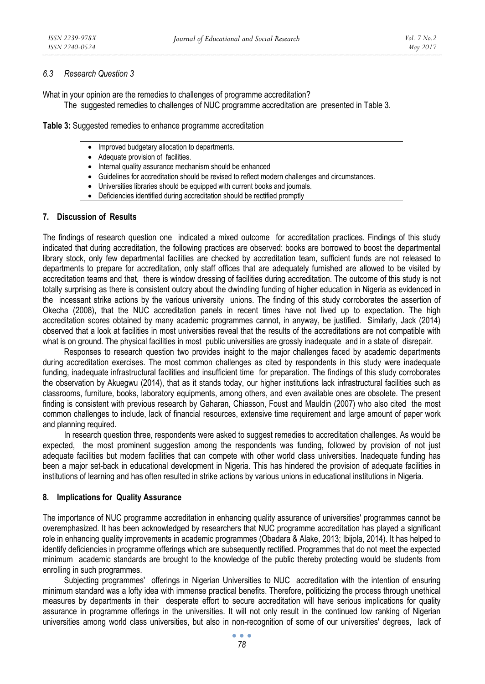### *6.3 Research Question 3*

What in your opinion are the remedies to challenges of programme accreditation?

The suggested remedies to challenges of NUC programme accreditation are presented in Table 3.

**Table 3:** Suggested remedies to enhance programme accreditation

- Improved budgetary allocation to departments.
- Adequate provision of facilities.
- Internal quality assurance mechanism should be enhanced
- Guidelines for accreditation should be revised to reflect modern challenges and circumstances.
- Universities libraries should be equipped with current books and journals.
- Deficiencies identified during accreditation should be rectified promptly

# **7. Discussion of Results**

The findings of research question one indicated a mixed outcome for accreditation practices. Findings of this study indicated that during accreditation, the following practices are observed: books are borrowed to boost the departmental library stock, only few departmental facilities are checked by accreditation team, sufficient funds are not released to departments to prepare for accreditation, only staff offices that are adequately furnished are allowed to be visited by accreditation teams and that, there is window dressing of facilities during accreditation. The outcome of this study is not totally surprising as there is consistent outcry about the dwindling funding of higher education in Nigeria as evidenced in the incessant strike actions by the various university unions. The finding of this study corroborates the assertion of Okecha (2008), that the NUC accreditation panels in recent times have not lived up to expectation. The high accreditation scores obtained by many academic programmes cannot, in anyway, be justified. Similarly, Jack (2014) observed that a look at facilities in most universities reveal that the results of the accreditations are not compatible with what is on ground. The physical facilities in most public universities are grossly inadequate and in a state of disrepair.

Responses to research question two provides insight to the major challenges faced by academic departments during accreditation exercises. The most common challenges as cited by respondents in this study were inadequate funding, inadequate infrastructural facilities and insufficient time for preparation. The findings of this study corroborates the observation by Akuegwu (2014), that as it stands today, our higher institutions lack infrastructural facilities such as classrooms, furniture, books, laboratory equipments, among others, and even available ones are obsolete. The present finding is consistent with previous research by Gaharan, Chiasson, Foust and Mauldin (2007) who also cited the most common challenges to include, lack of financial resources, extensive time requirement and large amount of paper work and planning required.

In research question three, respondents were asked to suggest remedies to accreditation challenges. As would be expected, the most prominent suggestion among the respondents was funding, followed by provision of not just adequate facilities but modern facilities that can compete with other world class universities. Inadequate funding has been a major set-back in educational development in Nigeria. This has hindered the provision of adequate facilities in institutions of learning and has often resulted in strike actions by various unions in educational institutions in Nigeria.

# **8. Implications for Quality Assurance**

The importance of NUC programme accreditation in enhancing quality assurance of universities' programmes cannot be overemphasized. It has been acknowledged by researchers that NUC programme accreditation has played a significant role in enhancing quality improvements in academic programmes (Obadara & Alake, 2013; Ibijola, 2014). It has helped to identify deficiencies in programme offerings which are subsequently rectified. Programmes that do not meet the expected minimum academic standards are brought to the knowledge of the public thereby protecting would be students from enrolling in such programmes.

Subjecting programmes' offerings in Nigerian Universities to NUC accreditation with the intention of ensuring minimum standard was a lofty idea with immense practical benefits. Therefore, politicizing the process through unethical measures by departments in their desperate effort to secure accreditation will have serious implications for quality assurance in programme offerings in the universities. It will not only result in the continued low ranking of Nigerian universities among world class universities, but also in non-recognition of some of our universities' degrees, lack of